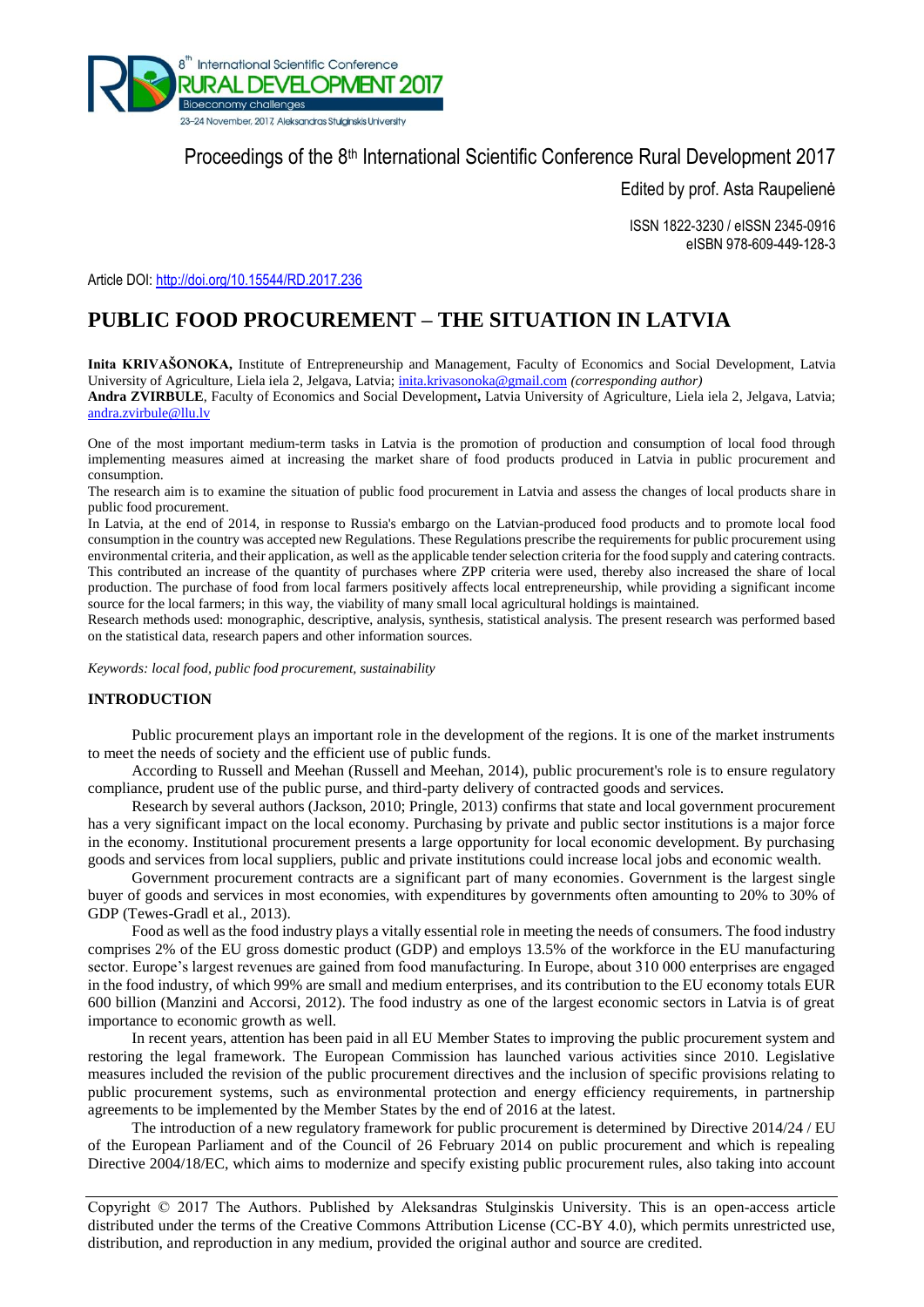

# Proceedings of the 8<sup>th</sup> International Scientific Conference Rural Development 2017

Edited by prof. Asta Raupelienė

ISSN 1822-3230 / eISSN 2345-0916 eISBN 978-609-449-128-3

Article DOI:<http://doi.org/10.15544/RD.2017.236>

# **PUBLIC FOOD PROCUREMENT – THE SITUATION IN LATVIA**

**Inita KRIVAŠONOKA,** Institute of Entrepreneurship and Management, Faculty of Economics and Social Development, Latvia University of Agriculture, Liela iela 2, Jelgava, Latvia; [inita.krivasonoka@gmail.com](mailto:inita.krivasonoka@gmail.com) *(corresponding author)* **Andra ZVIRBULE**, Faculty of Economics and Social Development**,** Latvia University of Agriculture, Liela iela 2, Jelgava, Latvia; [andra.zvirbule@llu.lv](mailto:andra.zvirbule@llu.lv)

One of the most important medium-term tasks in Latvia is the promotion of production and consumption of local food through implementing measures aimed at increasing the market share of food products produced in Latvia in public procurement and consumption.

The research aim is to examine the situation of public food procurement in Latvia and assess the changes of local products share in public food procurement.

In Latvia, at the end of 2014, in response to Russia's embargo on the Latvian-produced food products and to promote local food consumption in the country was accepted new Regulations. These Regulations prescribe the requirements for public procurement using environmental criteria, and their application, as well as the applicable tender selection criteria for the food supply and catering contracts. This contributed an increase of the quantity of purchases where ZPP criteria were used, thereby also increased the share of local production. The purchase of food from local farmers positively affects local entrepreneurship, while providing a significant income source for the local farmers; in this way, the viability of many small local agricultural holdings is maintained.

Research methods used: monographic, descriptive, analysis, synthesis, statistical analysis. The present research was performed based on the statistical data, research papers and other information sources.

*Keywords: local food, public food procurement, sustainability*

## **INTRODUCTION**

Public procurement plays an important role in the development of the regions. It is one of the market instruments to meet the needs of society and the efficient use of public funds.

According to Russell and Meehan (Russell and Meehan, 2014), public procurement's role is to ensure regulatory compliance, prudent use of the public purse, and third-party delivery of contracted goods and services.

Research by several authors (Jackson, 2010; Pringle, 2013) confirms that state and local government procurement has a very significant impact on the local economy. Purchasing by private and public sector institutions is a major force in the economy. Institutional procurement presents a large opportunity for local economic development. By purchasing goods and services from local suppliers, public and private institutions could increase local jobs and economic wealth.

Government procurement contracts are a significant part of many economies. Government is the largest single buyer of goods and services in most economies, with expenditures by governments often amounting to 20% to 30% of GDP (Tewes-Gradl et al., 2013).

Food as well as the food industry plays a vitally essential role in meeting the needs of consumers. The food industry comprises 2% of the EU gross domestic product (GDP) and employs 13.5% of the workforce in the EU manufacturing sector. Europe's largest revenues are gained from food manufacturing. In Europe, about 310 000 enterprises are engaged in the food industry, of which 99% are small and medium enterprises, and its contribution to the EU economy totals EUR 600 billion (Manzini and Accorsi, 2012). The food industry as one of the largest economic sectors in Latvia is of great importance to economic growth as well.

In recent years, attention has been paid in all EU Member States to improving the public procurement system and restoring the legal framework. The European Commission has launched various activities since 2010. Legislative measures included the revision of the public procurement directives and the inclusion of specific provisions relating to public procurement systems, such as environmental protection and energy efficiency requirements, in partnership agreements to be implemented by the Member States by the end of 2016 at the latest.

The introduction of a new regulatory framework for public procurement is determined by Directive 2014/24 / EU of the European Parliament and of the Council of 26 February 2014 on public procurement and which is repealing Directive 2004/18/EC, which aims to modernize and specify existing public procurement rules, also taking into account

Copyright © 2017 The Authors. Published by Aleksandras Stulginskis University. This is an open-access article distributed under the terms of the Creative Commons Attribution License (CC-BY 4.0), which permits unrestricted use, distribution, and reproduction in any medium, provided the original author and source are credited.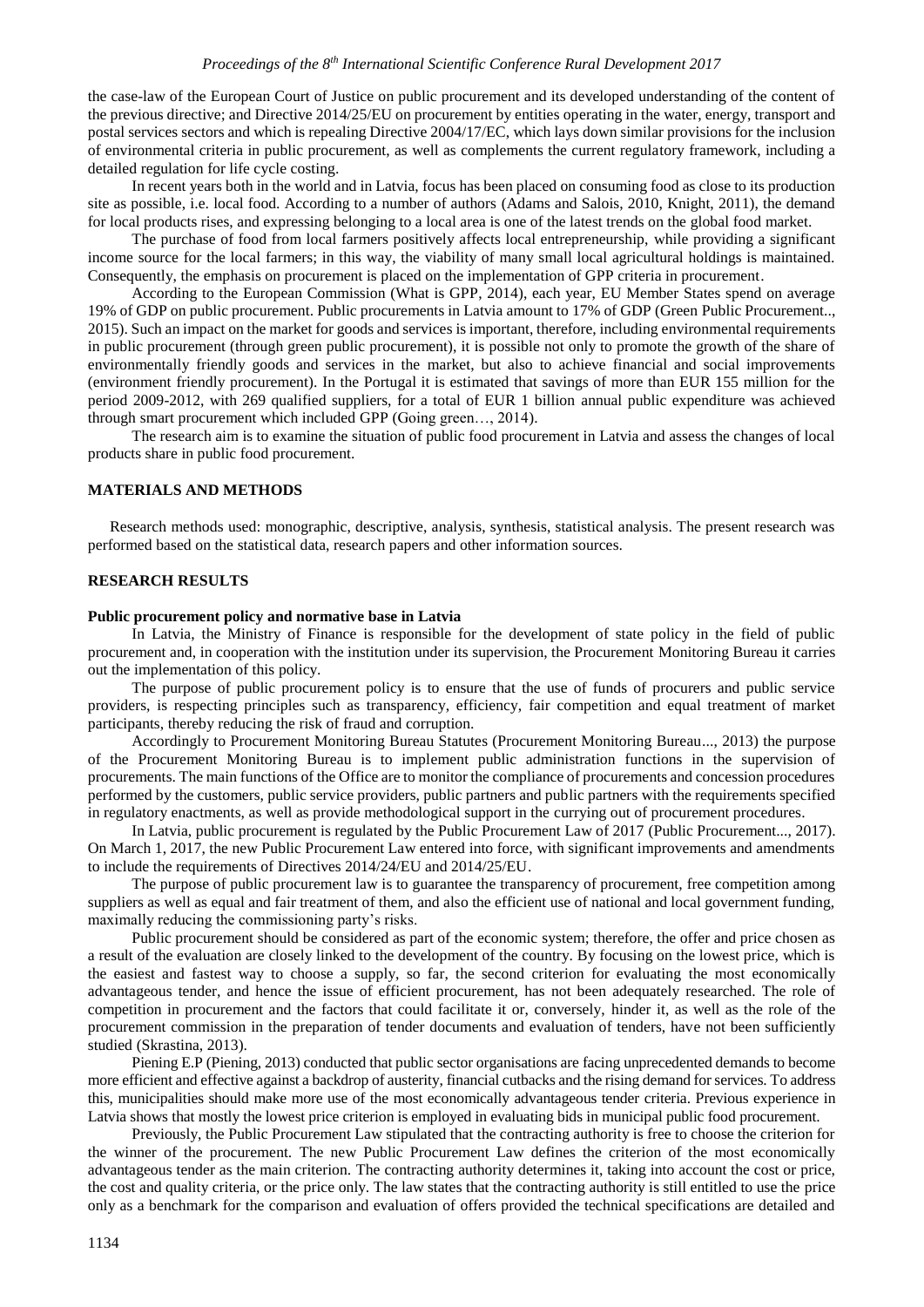the case-law of the European Court of Justice on public procurement and its developed understanding of the content of the previous directive; and Directive 2014/25/EU on procurement by entities operating in the water, energy, transport and postal services sectors and which is repealing Directive 2004/17/EC, which lays down similar provisions for the inclusion of environmental criteria in public procurement, as well as complements the current regulatory framework, including a detailed regulation for life cycle costing.

In recent years both in the world and in Latvia, focus has been placed on consuming food as close to its production site as possible, i.e. local food. According to a number of authors (Adams and Salois, 2010, Knight, 2011), the demand for local products rises, and expressing belonging to a local area is one of the latest trends on the global food market.

The purchase of food from local farmers positively affects local entrepreneurship, while providing a significant income source for the local farmers; in this way, the viability of many small local agricultural holdings is maintained. Consequently, the emphasis on procurement is placed on the implementation of GPP criteria in procurement.

According to the European Commission (What is GPP, 2014), each year, EU Member States spend on average 19% of GDP on public procurement. Public procurements in Latvia amount to 17% of GDP (Green Public Procurement.., 2015). Such an impact on the market for goods and services is important, therefore, including environmental requirements in public procurement (through green public procurement), it is possible not only to promote the growth of the share of environmentally friendly goods and services in the market, but also to achieve financial and social improvements (environment friendly procurement). In the Portugal it is estimated that savings of more than EUR 155 million for the period 2009-2012, with 269 qualified suppliers, for a total of EUR 1 billion annual public expenditure was achieved through smart procurement which included GPP (Going green…, 2014).

The research aim is to examine the situation of public food procurement in Latvia and assess the changes of local products share in public food procurement.

## **MATERIALS AND METHODS**

Research methods used: monographic, descriptive, analysis, synthesis, statistical analysis. The present research was performed based on the statistical data, research papers and other information sources.

## **RESEARCH RESULTS**

#### **Public procurement policy and normative base in Latvia**

In Latvia, the Ministry of Finance is responsible for the development of state policy in the field of public procurement and, in cooperation with the institution under its supervision, the Procurement Monitoring Bureau it carries out the implementation of this policy.

The purpose of public procurement policy is to ensure that the use of funds of procurers and public service providers, is respecting principles such as transparency, efficiency, fair competition and equal treatment of market participants, thereby reducing the risk of fraud and corruption.

Accordingly to Procurement Monitoring Bureau Statutes (Procurement Monitoring Bureau..., 2013) the purpose of the Procurement Monitoring Bureau is to implement public administration functions in the supervision of procurements. The main functions of the Office are to monitor the compliance of procurements and concession procedures performed by the customers, public service providers, public partners and public partners with the requirements specified in regulatory enactments, as well as provide methodological support in the currying out of procurement procedures.

In Latvia, public procurement is regulated by the Public Procurement Law of 2017 (Public Procurement..., 2017). On March 1, 2017, the new Public Procurement Law entered into force, with significant improvements and amendments to include the requirements of Directives 2014/24/EU and 2014/25/EU.

The purpose of public procurement law is to guarantee the transparency of procurement, free competition among suppliers as well as equal and fair treatment of them, and also the efficient use of national and local government funding, maximally reducing the commissioning party's risks.

Public procurement should be considered as part of the economic system; therefore, the offer and price chosen as a result of the evaluation are closely linked to the development of the country. By focusing on the lowest price, which is the easiest and fastest way to choose a supply, so far, the second criterion for evaluating the most economically advantageous tender, and hence the issue of efficient procurement, has not been adequately researched. The role of competition in procurement and the factors that could facilitate it or, conversely, hinder it, as well as the role of the procurement commission in the preparation of tender documents and evaluation of tenders, have not been sufficiently studied (Skrastina, 2013).

Piening E.P (Piening, 2013) conducted that public sector organisations are facing unprecedented demands to become more efficient and effective against a backdrop of austerity, financial cutbacks and the rising demand for services. To address this, municipalities should make more use of the most economically advantageous tender criteria. Previous experience in Latvia shows that mostly the lowest price criterion is employed in evaluating bids in municipal public food procurement.

Previously, the Public Procurement Law stipulated that the contracting authority is free to choose the criterion for the winner of the procurement. The new Public Procurement Law defines the criterion of the most economically advantageous tender as the main criterion. The contracting authority determines it, taking into account the cost or price, the cost and quality criteria, or the price only. The law states that the contracting authority is still entitled to use the price only as a benchmark for the comparison and evaluation of offers provided the technical specifications are detailed and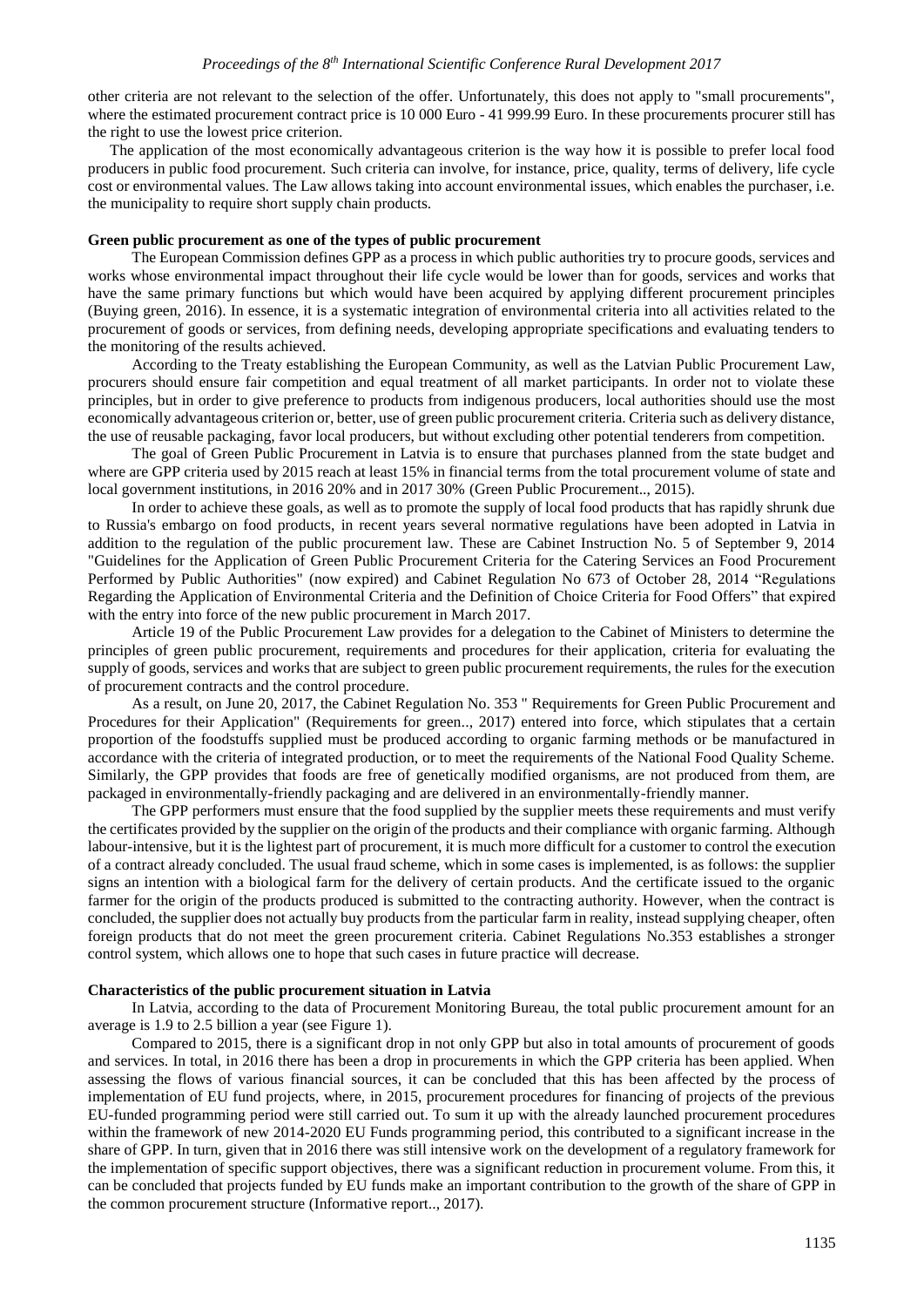other criteria are not relevant to the selection of the offer. Unfortunately, this does not apply to "small procurements", where the estimated procurement contract price is 10 000 Euro - 41 999.99 Euro. In these procurements procurer still has the right to use the lowest price criterion.

The application of the most economically advantageous criterion is the way how it is possible to prefer local food producers in public food procurement. Such criteria can involve, for instance, price, quality, terms of delivery, life cycle cost or environmental values. The Law allows taking into account environmental issues, which enables the purchaser, i.e. the municipality to require short supply chain products.

### **Green public procurement as one of the types of public procurement**

The European Commission defines GPP as a process in which public authorities try to procure goods, services and works whose environmental impact throughout their life cycle would be lower than for goods, services and works that have the same primary functions but which would have been acquired by applying different procurement principles (Buying green, 2016). In essence, it is a systematic integration of environmental criteria into all activities related to the procurement of goods or services, from defining needs, developing appropriate specifications and evaluating tenders to the monitoring of the results achieved.

According to the Treaty establishing the European Community, as well as the Latvian Public Procurement Law, procurers should ensure fair competition and equal treatment of all market participants. In order not to violate these principles, but in order to give preference to products from indigenous producers, local authorities should use the most economically advantageous criterion or, better, use of green public procurement criteria. Criteria such as delivery distance, the use of reusable packaging, favor local producers, but without excluding other potential tenderers from competition.

The goal of Green Public Procurement in Latvia is to ensure that purchases planned from the state budget and where are GPP criteria used by 2015 reach at least 15% in financial terms from the total procurement volume of state and local government institutions, in 2016 20% and in 2017 30% (Green Public Procurement.., 2015).

In order to achieve these goals, as well as to promote the supply of local food products that has rapidly shrunk due to Russia's embargo on food products, in recent years several normative regulations have been adopted in Latvia in addition to the regulation of the public procurement law. These are Cabinet Instruction No. 5 of September 9, 2014 "Guidelines for the Application of Green Public Procurement Criteria for the Catering Services an Food Procurement Performed by Public Authorities" (now expired) and Cabinet Regulation No 673 of October 28, 2014 "Regulations Regarding the Application of Environmental Criteria and the Definition of Choice Criteria for Food Offers" that expired with the entry into force of the new public procurement in March 2017.

Article 19 of the Public Procurement Law provides for a delegation to the Cabinet of Ministers to determine the principles of green public procurement, requirements and procedures for their application, criteria for evaluating the supply of goods, services and works that are subject to green public procurement requirements, the rules for the execution of procurement contracts and the control procedure.

As a result, on June 20, 2017, the Cabinet Regulation No. 353 " Requirements for Green Public Procurement and Procedures for their Application" (Requirements for green.., 2017) entered into force, which stipulates that a certain proportion of the foodstuffs supplied must be produced according to organic farming methods or be manufactured in accordance with the criteria of integrated production, or to meet the requirements of the National Food Quality Scheme. Similarly, the GPP provides that foods are free of genetically modified organisms, are not produced from them, are packaged in environmentally-friendly packaging and are delivered in an environmentally-friendly manner.

The GPP performers must ensure that the food supplied by the supplier meets these requirements and must verify the certificates provided by the supplier on the origin of the products and their compliance with organic farming. Although labour-intensive, but it is the lightest part of procurement, it is much more difficult for a customer to control the execution of a contract already concluded. The usual fraud scheme, which in some cases is implemented, is as follows: the supplier signs an intention with a biological farm for the delivery of certain products. And the certificate issued to the organic farmer for the origin of the products produced is submitted to the contracting authority. However, when the contract is concluded, the supplier does not actually buy products from the particular farm in reality, instead supplying cheaper, often foreign products that do not meet the green procurement criteria. Cabinet Regulations No.353 establishes a stronger control system, which allows one to hope that such cases in future practice will decrease.

### **Characteristics of the public procurement situation in Latvia**

In Latvia, according to the data of Procurement Monitoring Bureau, the total public procurement amount for an average is 1.9 to 2.5 billion a year (see Figure 1).

Compared to 2015, there is a significant drop in not only GPP but also in total amounts of procurement of goods and services. In total, in 2016 there has been a drop in procurements in which the GPP criteria has been applied. When assessing the flows of various financial sources, it can be concluded that this has been affected by the process of implementation of EU fund projects, where, in 2015, procurement procedures for financing of projects of the previous EU-funded programming period were still carried out. To sum it up with the already launched procurement procedures within the framework of new 2014-2020 EU Funds programming period, this contributed to a significant increase in the share of GPP. In turn, given that in 2016 there was still intensive work on the development of a regulatory framework for the implementation of specific support objectives, there was a significant reduction in procurement volume. From this, it can be concluded that projects funded by EU funds make an important contribution to the growth of the share of GPP in the common procurement structure (Informative report.., 2017).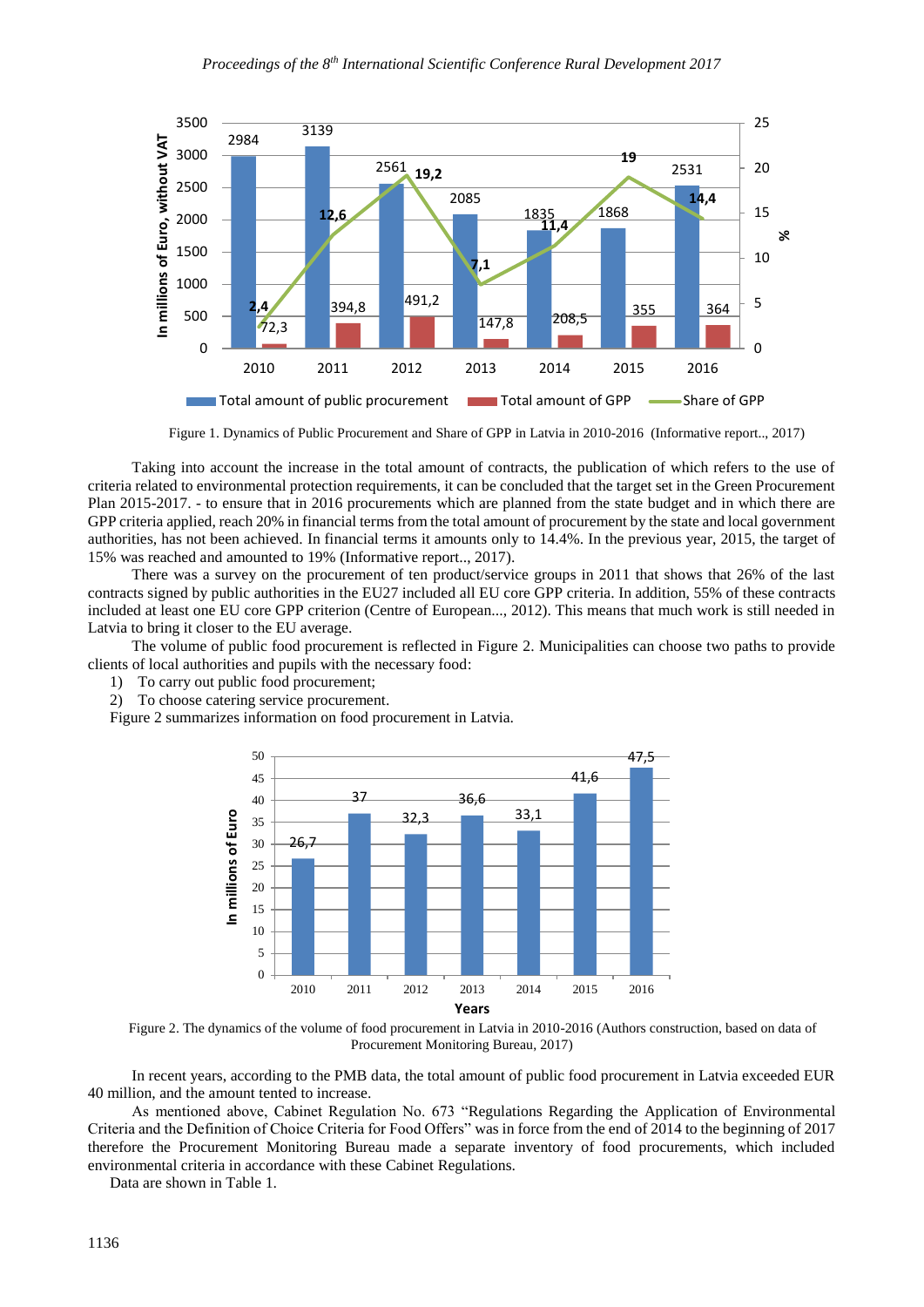

Figure 1. Dynamics of Public Procurement and Share of GPP in Latvia in 2010-2016 (Informative report.., 2017)

Taking into account the increase in the total amount of contracts, the publication of which refers to the use of criteria related to environmental protection requirements, it can be concluded that the target set in the Green Procurement Plan 2015-2017. - to ensure that in 2016 procurements which are planned from the state budget and in which there are GPP criteria applied, reach 20% in financial terms from the total amount of procurement by the state and local government authorities, has not been achieved. In financial terms it amounts only to 14.4%. In the previous year, 2015, the target of 15% was reached and amounted to 19% (Informative report.., 2017).

There was a survey on the procurement of ten product/service groups in 2011 that shows that 26% of the last contracts signed by public authorities in the EU27 included all EU core GPP criteria. In addition, 55% of these contracts included at least one EU core GPP criterion (Centre of European..., 2012). This means that much work is still needed in Latvia to bring it closer to the EU average.

The volume of public food procurement is reflected in Figure 2. Municipalities can choose two paths to provide clients of local authorities and pupils with the necessary food:

- 1) To carry out public food procurement;
- 2) To choose catering service procurement.

Figure 2 summarizes information on food procurement in Latvia.



Figure 2. The dynamics of the volume of food procurement in Latvia in 2010-2016 (Authors construction, based on data of Procurement Monitoring Bureau, 2017)

In recent years, according to the PMB data, the total amount of public food procurement in Latvia exceeded EUR 40 million, and the amount tented to increase.

As mentioned above, Cabinet Regulation No. 673 "Regulations Regarding the Application of Environmental Criteria and the Definition of Choice Criteria for Food Offers" was in force from the end of 2014 to the beginning of 2017 therefore the Procurement Monitoring Bureau made a separate inventory of food procurements, which included environmental criteria in accordance with these Cabinet Regulations.

Data are shown in Table 1.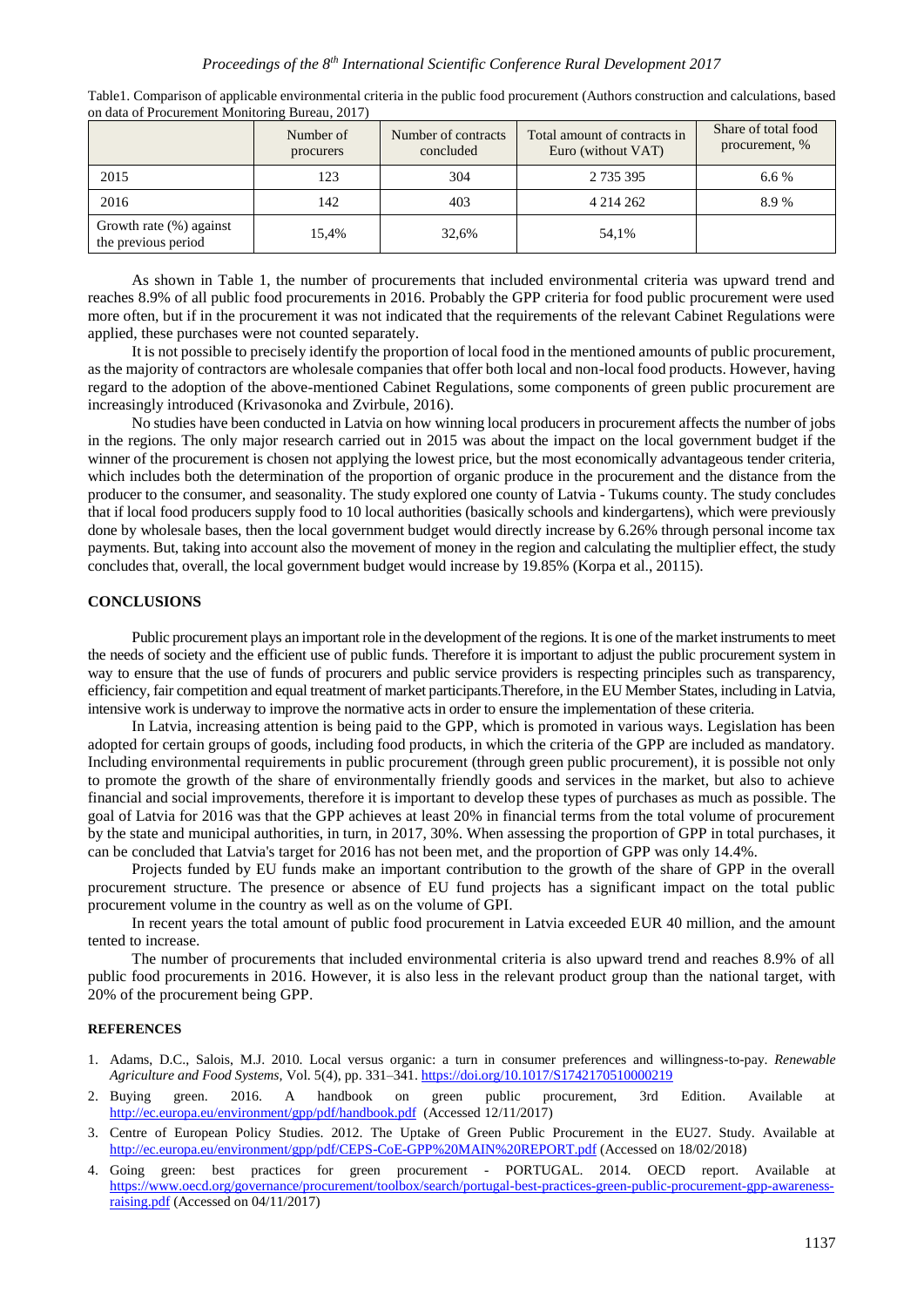|                                                | Number of<br>procurers | Number of contracts<br>concluded | Total amount of contracts in<br>Euro (without VAT) | Share of total food<br>procurement, % |
|------------------------------------------------|------------------------|----------------------------------|----------------------------------------------------|---------------------------------------|
| 2015                                           | 123                    | 304                              | 2 7 3 5 3 9 5                                      | $6.6\%$                               |
| 2016                                           | 142                    | 403                              | 4 2 1 4 2 6 2                                      | 8.9%                                  |
| Growth rate (%) against<br>the previous period | 15.4%                  | 32,6%                            | 54.1%                                              |                                       |

Table1. Comparison of applicable environmental criteria in the public food procurement (Authors construction and calculations, based on data of Procurement Monitoring Bureau, 2017)

As shown in Table 1, the number of procurements that included environmental criteria was upward trend and reaches 8.9% of all public food procurements in 2016. Probably the GPP criteria for food public procurement were used more often, but if in the procurement it was not indicated that the requirements of the relevant Cabinet Regulations were applied, these purchases were not counted separately.

It is not possible to precisely identify the proportion of local food in the mentioned amounts of public procurement, as the majority of contractors are wholesale companies that offer both local and non-local food products. However, having regard to the adoption of the above-mentioned Cabinet Regulations, some components of green public procurement are increasingly introduced (Krivasonoka and Zvirbule, 2016).

No studies have been conducted in Latvia on how winning local producers in procurement affects the number of jobs in the regions. The only major research carried out in 2015 was about the impact on the local government budget if the winner of the procurement is chosen not applying the lowest price, but the most economically advantageous tender criteria, which includes both the determination of the proportion of organic produce in the procurement and the distance from the producer to the consumer, and seasonality. The study explored one county of Latvia - Tukums county. The study concludes that if local food producers supply food to 10 local authorities (basically schools and kindergartens), which were previously done by wholesale bases, then the local government budget would directly increase by 6.26% through personal income tax payments. But, taking into account also the movement of money in the region and calculating the multiplier effect, the study concludes that, overall, the local government budget would increase by 19.85% (Korpa et al., 20115).

## **CONCLUSIONS**

Public procurement plays an important role in the development of the regions. It is one of the market instruments to meet the needs of society and the efficient use of public funds. Therefore it is important to adjust the public procurement system in way to ensure that the use of funds of procurers and public service providers is respecting principles such as transparency, efficiency, fair competition and equal treatment of market participants.Therefore, in the EU Member States, including in Latvia, intensive work is underway to improve the normative acts in order to ensure the implementation of these criteria.

In Latvia, increasing attention is being paid to the GPP, which is promoted in various ways. Legislation has been adopted for certain groups of goods, including food products, in which the criteria of the GPP are included as mandatory. Including environmental requirements in public procurement (through green public procurement), it is possible not only to promote the growth of the share of environmentally friendly goods and services in the market, but also to achieve financial and social improvements, therefore it is important to develop these types of purchases as much as possible. The goal of Latvia for 2016 was that the GPP achieves at least 20% in financial terms from the total volume of procurement by the state and municipal authorities, in turn, in 2017, 30%. When assessing the proportion of GPP in total purchases, it can be concluded that Latvia's target for 2016 has not been met, and the proportion of GPP was only 14.4%.

Projects funded by EU funds make an important contribution to the growth of the share of GPP in the overall procurement structure. The presence or absence of EU fund projects has a significant impact on the total public procurement volume in the country as well as on the volume of GPI.

In recent years the total amount of public food procurement in Latvia exceeded EUR 40 million, and the amount tented to increase.

The number of procurements that included environmental criteria is also upward trend and reaches 8.9% of all public food procurements in 2016. However, it is also less in the relevant product group than the national target, with 20% of the procurement being GPP.

## **REFERENCES**

- 1. Adams, D.C., Salois, M.J. 2010. Local versus organic: a turn in consumer preferences and willingness-to-pay. *Renewable Agriculture and Food Systems,* Vol. 5(4), pp. 331–341[. https://doi.org/10.1017/S1742170510000219](https://doi.org/10.1017/S1742170510000219)
- 2. Buying green. 2016. A handbook on green public procurement, 3rd Edition. Available at <http://ec.europa.eu/environment/gpp/pdf/handbook.pdf> (Accessed 12/11/2017)
- 3. Centre of European Policy Studies. 2012. The Uptake of Green Public Procurement in the EU27. Study. Available at <http://ec.europa.eu/environment/gpp/pdf/CEPS-CoE-GPP%20MAIN%20REPORT.pdf> (Accessed on 18/02/2018)
- 4. Going green: best practices for green procurement PORTUGAL. 2014. OECD report. Available at [https://www.oecd.org/governance/procurement/toolbox/search/portugal-best-practices-green-public-procurement-gpp-awareness](https://www.oecd.org/governance/procurement/toolbox/search/portugal-best-practices-green-public-procurement-gpp-awareness-raising.pdf)[raising.pdf](https://www.oecd.org/governance/procurement/toolbox/search/portugal-best-practices-green-public-procurement-gpp-awareness-raising.pdf) (Accessed on 04/11/2017)